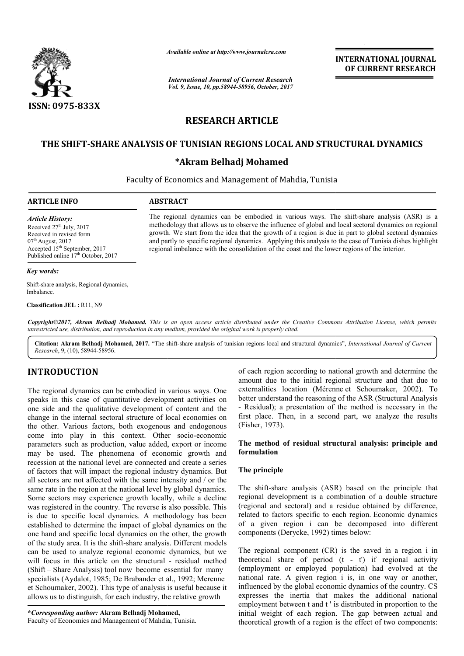

*Available online at http://www.journal http://www.journalcra.com*

*International Journal of Current Research Vol. 9, Issue, 10, pp.58944-58956, October, 2017* **INTERNATIONAL JOURNAL OF CURRENT RESEARCH** 

# **RESEARCH ARTICLE**

# THE SHIFT-SHARE ANALYSIS OF TUNISIAN REGIONS LOCAL AND STRUCTURAL DYNAMICS

## **\*Akram Belhadj Mohamed**

Faculty of Economics and Management of Mahdia, Tunisia

### **ARTICLE INFO ABSTRACT**

*Article History:* Received  $27<sup>th</sup>$  July,  $2017$ Received in revised form  $07<sup>th</sup>$  August, 2017 Accepted  $15<sup>th</sup>$  September, 2017 Published online 17<sup>th</sup> October, 2017

#### *Key words:*

Shift-share analysis, Regional dynamics, Imbalance.

**Classification JEL :** R11, N9

The regional dynamics can be embodied in various ways. The shift-share analysis (ASR) is a methodology that allows us to observe the influence of global and local sectoral dynamics on regional methodology that allows us to observe the influence of global and local sectoral dynamics on regional growth. We start from the idea that the growth of a region is due in part to global sectoral dynamics and partly to specific regional dynamics. Applying this analysis to the case of Tunisia dishes highlight

regional imbalance with the consolidation of the coast and the lower regions of the interior.

Copyright©2017, Akram Belhadj Mohamed. This is an open access article distributed under the Creative Commons Attribution License, which permits *unrestricted use, distribution, and reproduction in any medium, provided the original work is properly cited.*

Citation: Akram Belhadj Mohamed, 2017. "The shift-share analysis of tunisian regions local and structural dynamics", *International Journal of Current Research*, 9, (10), 58944-58956.

# **INTRODUCTION**

The regional dynamics can be embodied in various ways. One speaks in this case of quantitative development activities on one side and the qualitative development of content and the change in the internal sectoral structure of local economies on the other. Various factors, both exogenous and endogenous come into play in this context. Other socio-economic parameters such as production, value added, export or income may be used. The phenomena of economic growth and recession at the national level are connected and create a series of factors that will impact the regional industry dynamics. But all sectors are not affected with the same intensity and / or the same rate in the region at the national level by global dynamics. Some sectors may experience growth locally, while a decline was registered in the country. The reverse is also possible. This is due to specific local dynamics. A methodology has been established to determine the impact of global dynamics on the Some sectors may experience growth locally, while a decline was registered in the country. The reverse is also possible. This is due to specific local dynamics. A methodology has been established to determine the impact of of the study area. It is the shift-share analysis. Different models can be used to analyze regional economic dynamics, but we will focus in this article on the structural - residual method (Shift – Share Analysis) tool now become essential for many specialists (Aydalot, 1985; De Brabander et al., 1992; Merenne et Schoumaker, 2002). This type of analysis is useful because it allows us to distinguish, for each industry, the relative growth

of each region according to national growth and determine the amount due to the initial regional structure and that due to externalities location (Mérenne et Schoumaker, 2002). To better understand the reasoning of the ASR (Structural Analysis - Residual); a presentation of the method is necessary in the first place. Then, in a second part, we analyze the results (Fisher, 1973). of each region according to national growth and determine the amount due to the initial regional structure and that due to externalities location (Mérenne et Schoumaker, 2002). To better understand the reasoning of the ASR (Structural A - Residual); a presentation of the method is necessary first place. Then, in a second part, we analyze the

### The method of residual structural analysis: principle and **formulation**

### **The principle**

The shift-share analysis (ASR) based on the principle that The shift-share analysis (ASR) based on the principle that regional development is a combination of a double structure (regional and sectoral) and a residue obtained by difference, (regional and sectoral) and a residue obtained by difference, related to factors specific to each region. Economic dynamics of a given region i can be decomposed into different components (Derycke, 1992) times below:

The regional component (CR) is the saved in a region i in The regional component  $(CR)$  is the saved in a region i in theoretical share of period  $(t - t')$  if regional activity (employment or employed population) had evolved at the national rate. A given region i is, in one way or another, influenced by the global economic dynamics of the country. CS expresses the inertia that makes the additional national employment between t and t ' is distributed in proportion to the initial weight of each region. The gap between actual and theoretical growth of a region is the effect of two components: **INTERNATIONAL JOURNAL (Several Constrained Constrained Constrained Constrained Constrained Constrained ARTICLE<br>
EIONS LOCAL AND STRUCTURAL DYNAMICS<br>
ARTICLE<br>
EIONS LOCAL AND STRUCTURAL DYNAMICS<br>
SPRESS (Nother, 397)<br>
ART**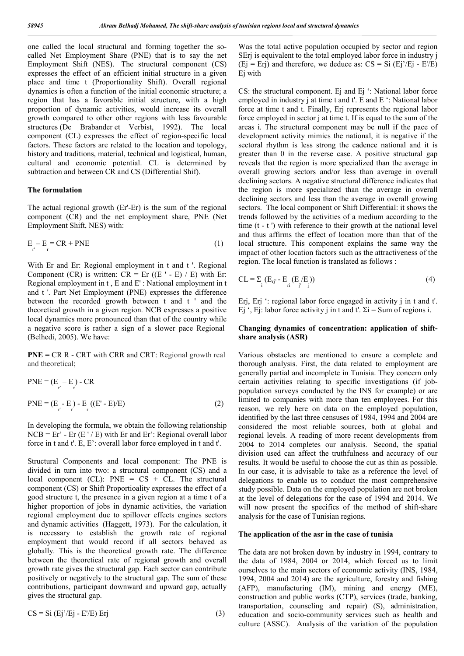one called the local structural and forming together the socalled Net Employment Share (PNE) that is to say the net Employment Shift (NES). The structural component (CS) expresses the effect of an efficient initial structure in a given place and time t (Proportionality Shift). Overall regional dynamics is often a function of the initial economic structure; a region that has a favorable initial structure, with a high proportion of dynamic activities, would increase its overall growth compared to other other regions with less favourable structures (De Brabander et Verbist, 1992). The local component (CL) expresses the effect of region-specific local factors. These factors are related to the location and topology, history and traditions, material, technical and logistical, human, cultural and economic potential. CL is determined by subtraction and between CR and CS (Differential Shif).

#### **The formulation**

The actual regional growth (Er'-Er) is the sum of the regional component (CR) and the net employment share, PNE (Net Employment Shift, NES) with:

$$
E_r - E_r = CR + PNE
$$
 (1)

With Er and Er: Regional employment in t and t '. Regional Component (CR) is written:  $CR = Er$  ((E ' - E) / E) with Er: Regional employment in t , E and E' : National employment in t and t '. Part Net Employment (PNE) expresses the difference between the recorded growth between t and t ' and the theoretical growth in a given region. NCB expresses a positive local dynamics more pronounced than that of the country while a negative score is rather a sign of a slower pace Regional (Belhedi, 2005). We have:

**PNE =** CR R - CRT with CRR and CRT: Regional growth real and theoretical;

PNE = 
$$
(E_r - E_r) - CR
$$
  
\nPNE =  $(E_r - E_r) - E_r ((E' - E)/E)$  (2)

In developing the formula, we obtain the following relationship  $NCB = Er' - Er (E'/E)$  with Er and Er': Regional overall labor force in t and t'. E, E': overall labor force employed in t and t'.

Structural Components and local component: The PNE is divided in turn into two: a structural component (CS) and a local component (CL):  $PNE = CS + CL$ . The structural component (CS) or Shift Proportioality expresses the effect of a good structure t, the presence in a given region at a time t of a higher proportion of jobs in dynamic activities, the variation regional employment due to spillover effects engines sectors and dynamic activities (Haggett, 1973). For the calculation, it is necessary to establish the growth rate of regional employment that would record if all sectors behaved as globally. This is the theoretical growth rate. The difference between the theoretical rate of regional growth and overall growth rate gives the structural gap. Each sector can contribute positively or negatively to the structural gap. The sum of these contributions, participant downward and upward gap, actually gives the structural gap.

$$
CS = Si (Ej'/Ej - E/E) Erij
$$
 (3)

Was the total active population occupied by sector and region SErj is equivalent to the total employed labor force in industry j  $(Ej = Eri)$  and therefore, we deduce as:  $CS = Si (Ej/Ej - E/E)$ Ej with

CS: the structural component. Ej and Ej ': National labor force employed in industry j at time t and t'. E and E ': National labor force at time t and t. Finally, Eri represents the regional labor force employed in sector i at time t. If is equal to the sum of the areas i. The structural component may be null if the pace of development activity mimics the national, it is negative if the sectoral rhythm is less strong the cadence national and it is greater than 0 in the reverse case. A positive structural gap reveals that the region is more specialized than the average in overall growing sectors and/or less than average in overall declining sectors. A negative structural difference indicates that the region is more specialized than the average in overall declining sectors and less than the average in overall growing sectors. The local component or Shift Differential: it shows the trends followed by the activities of a medium according to the time (t - t ') with reference to their growth at the national level and thus affirms the effect of location more than that of the local structure. This component explains the same way the impact of other location factors such as the attractiveness of the region. The local function is translated as follows :

$$
CL = \sum_{i} (E_{rj'} - E_{i} (E/k))
$$
\n
$$
(4)
$$

Erj, Erj ': regional labor force engaged in activity j in t and t'. Ej ', Ej: labor force activity j in t and t'.  $\Sigma$ i = Sum of regions i.

### **Changing dynamics of concentration: application of shiftshare analysis (ASR)**

Various obstacles are mentioned to ensure a complete and thorough analysis. First, the data related to employment are generally partial and incomplete in Tunisia. They concern only certain activities relating to specific investigations (if jobpopulation surveys conducted by the INS for example) or are limited to companies with more than ten employees. For this reason, we rely here on data on the employed population, identified by the last three censuses of 1984, 1994 and 2004 are considered the most reliable sources, both at global and regional levels. A reading of more recent developments from 2004 to 2014 completes our analysis. Second, the spatial division used can affect the truthfulness and accuracy of our results. It would be useful to choose the cut as thin as possible. In our case, it is advisable to take as a reference the level of delegations to enable us to conduct the most comprehensive study possible. Data on the employed population are not broken at the level of delegations for the case of 1994 and 2014. We will now present the specifics of the method of shift-share analysis for the case of Tunisian regions.

#### **The application of the asr in the case of tunisia**

The data are not broken down by industry in 1994, contrary to the data of 1984, 2004 or 2014, which forced us to limit ourselves to the main sectors of economic activity (INS, 1984, 1994, 2004 and 2014) are the agriculture, forestry and fishing (AFP), manufacturing (IM), mining and energy (ME), construction and public works (CTP), services (trade, banking, transportation, counseling and repair) (S), administration, education and socio-community services such as health and culture (ASSC). Analysis of the variation of the population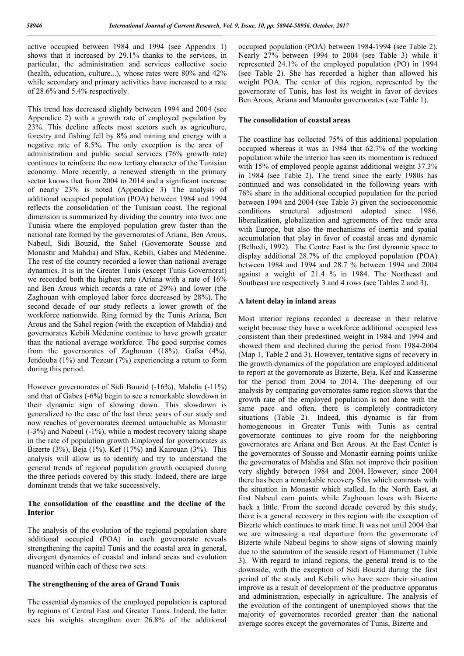active occupied between 1984 and 1994 (see Appendix 1) shows that it increased by 29.1% thanks to the services, in particular, the administration and services collective socio (health, education, culture...), whose rates were 80% and 42% while secondary and primary activities have increased to a rate of 28.6% and 5.4% respectively.

This trend has decreased slightly between 1994 and 2004 (see Appendice 2) with a growth rate of employed population by 23%. This decline affects most sectors such as agriculture, forestry and fishing fell by 8% and mining and energy with a negative rate of 8.5%. The only exception is the area of administration and public social services (76% growth rate) continues to reinforce the now tertiary character of the Tunisian economy. More recently, a renewed strength in the primary sector knows that from 2004 to 2014 and a significant increase of nearly 23% is noted (Appendice 3) The analysis of additional occupied population (POA) between 1984 and 1994 reflects the consolidation of the Tunisian coast. The regional dimension is summarized by dividing the country into two: one Tunisia where the employed population grew faster than the national rate formed by the governorates of Ariana, Ben Arous, Nabeul, Sidi Bouzid, the Sahel (Governorate Sousse and Monastir and Mahdia) and Sfax, Kebili, Gabes and Médenine. The rest of the country recorded a lower than national average dynamics. It is in the Greater Tunis (except Tunis Governorat) we recorded both the highest rate (Ariana with a rate of 16% and Ben Arous which records a rate of 29%) and lower (the Zaghouan with employed labor force decreased by 28%). The second decade of our study reflects a lower growth of the workforce nationwide. Ring formed by the Tunis Ariana, Ben Arous and the Sahel region (with the exception of Mahdia) and governorates Kebili Médenine continue to have growth greater than the national average workforce. The good surprise comes from the governorates of Zaghouan (18%), Gafsa (4%), Jendouba (1%) and Tozeur (7%) experiencing a return to form during this period.

However governorates of Sidi Bouzid (-16%), Mahdia (-11%) and that of Gabes (-6%) begin to see a remarkable slowdown in their dynamic sign of slowing down. This slowdown is generalized to the case of the last three years of our study and now reaches of governorates deemed untouchable as Monastir (-3%) and Nabeul (-1%), while a modest recovery taking shape in the rate of population growth Employed for governorates as Bizerte (3%), Beja (1%), Kef (17%) and Kairouan (3%). This analysis will allow us to identify and try to understand the general trends of regional population growth occupied during the three periods covered by this study. Indeed, there are large dominant trends that we take successively.

### **The consolidation of the coastline and the decline of the Interior**

The analysis of the evolution of the regional population share additional occupied (POA) in each governorate reveals strengthening the capital Tunis and the coastal area in general, divergent dynamics of coastal and inland areas and evolution nuanced within each of these two sets.

### **The strengthening of the area of Grand Tunis**

The essential dynamics of the employed population is captured by regions of Central East and Greater Tunis. Indeed, the latter sees his weights strengthen over 26.8% of the additional occupied population (POA) between 1984-1994 (see Table 2). Nearly 27% between 1994 to 2004 (see Table 3) while it represented 24.1% of the employed population (PO) in 1994 (see Table 2). She has recorded a higher than allowed his weight POA. The center of this region, represented by the governorate of Tunis, has lost its weight in favor of devices Ben Arous, Ariana and Manouba governorates (see Table 1).

### **The consolidation of coastal areas**

The coastline has collected 75% of this additional population occupied whereas it was in 1984 that 62.7% of the working population while the interior has seen its momentum is reduced with 15% of employed people against additional weight 37.3% in 1984 (see Table 2). The trend since the early 1980s has continued and was consolidated in the following years with 76% share in the additional occupied population for the period between 1994 and 2004 (see Table 3) given the socioeconomic conditions structural adjustment adopted since 1986, liberalization, globalization and agreements of free trade area with Europe, but also the mechanisms of inertia and spatial accumulation that play in favor of coastal areas and dynamic (Belhedi, 1992). The Centre East is the first dynamic space to display additional 28.7% of the employed population (POA) between 1984 and 1994 and 28.7 % between 1994 and 2004 against a weight of 21.4 % in 1984. The Northeast and Southeast are respectively 3 and 4 rows (see Tables 2 and 3).

### **A latent delay in inland areas**

Most interior regions recorded a decrease in their relative weight because they have a workforce additional occupied less consistent than their predestined weight in 1984 and 1994 and showed them and declined during the period from 1984-2004 (Map 1, Table 2 and 3). However, tentative signs of recovery in the growth dynamics of the population are employed additional to report at the governorate as Bizerte, Beja, Kef and Kasserine for the period from 2004 to 2014. The deepening of our analysis by comparing governorates same region shows that the growth rate of the employed population is not done with the same pace and often, there is completely contradictory situations (Table 2). Indeed, this dynamic is far from homogeneous in Greater Tunis with Tunis as central governorate continues to give room for the neighboring governorates are Ariana and Ben Arous. At the East Center is the governorates of Sousse and Monastir earning points unlike the governorates of Mahdia and Sfax not improve their position very slightly between 1984 and 2004. However, since 2004 there has been a remarkable recovery Sfax which contrasts with the situation in Monastir which stalled. In the North East, at first Nabeul earn points while Zaghouan loses with Bizerte back a little. From the second decade covered by this study, there is a general recovery in this region with the exception of Bizerte which continues to mark time. It was not until 2004 that we are witnessing a real departure from the governorate of Bizerte while Nabeul begins to show signs of slowing mainly due to the saturation of the seaside resort of Hammamet (Table 3). With regard to inland regions, the general trend is to the downside, with the exception of Sidi Bouzid during the first period of the study and Kebili who have seen their situation improve as a result of development of the productive apparatus and administration, especially in agriculture. The analysis of the evolution of the contingent of unemployed shows that the majority of governorates recorded greater than the national average scores except the governorates of Tunis, Bizerte and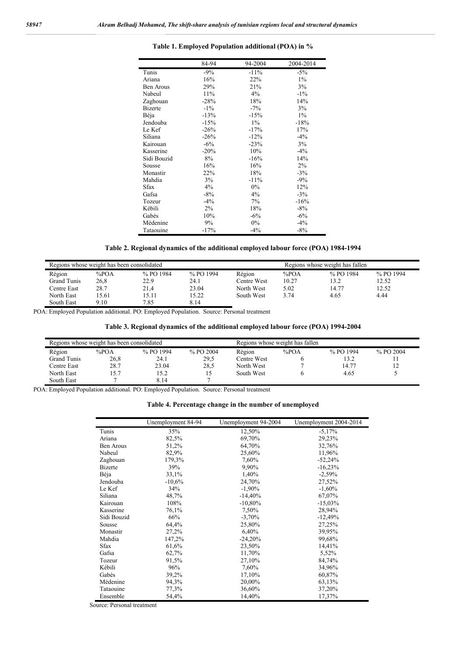|                  | 84-94  | 94-2004 | 2004-2014 |
|------------------|--------|---------|-----------|
| Tunis            | $-9\%$ | $-11%$  | $-5\%$    |
| Ariana           | 16%    | 22%     | $1\%$     |
| <b>Ben Arous</b> | 29%    | 21%     | 3%        |
| Nabeul           | 11%    | 4%      | $-1\%$    |
| Zaghouan         | $-28%$ | 18%     | 14%       |
| <b>Bizerte</b>   | $-1\%$ | $-7\%$  | 3%        |
| Béja             | $-13%$ | $-15%$  | $1\%$     |
| Jendouba         | $-15%$ | $1\%$   | $-18%$    |
| Le Kef           | $-26%$ | $-17%$  | 17%       |
| Siliana          | $-26%$ | $-12%$  | $-4\%$    |
| Kairouan         | $-6\%$ | $-23%$  | 3%        |
| Kasserine        | $-20%$ | 10%     | $-4\%$    |
| Sidi Bouzid      | 8%     | $-16%$  | 14%       |
| Sousse           | 16%    | 16%     | $2\%$     |
| Monastir         | 22%    | 18%     | $-3\%$    |
| Mahdia           | 3%     | $-11%$  | $-9%$     |
| <b>Sfax</b>      | 4%     | $0\%$   | 12%       |
| Gafsa            | $-8\%$ | 4%      | $-3\%$    |
| Tozeur           | $-4\%$ | 7%      | $-16%$    |
| Kébili           | $2\%$  | 18%     | $-8\%$    |
| Gabés            | 10%    | $-6%$   | $-6\%$    |
| Médenine         | 9%     | $0\%$   | $-4%$     |
| Tataouine        | $-17%$ | $-4%$   | $-8%$     |

### **Table 1. Employed Population additional (POA) in %**

**Table 2. Regional dynamics of the additional employed labour force (POA) 1984-1994**

| Regions whose weight has been consolidated |       |           |           |             |       | Regions whose weight has fallen |           |
|--------------------------------------------|-------|-----------|-----------|-------------|-------|---------------------------------|-----------|
| Région                                     | %POA  | % PO 1984 | % PO 1994 | Région      | %POA  | % PO 1984                       | % PO 1994 |
| Grand Tunis                                | 26,8  | 22.9      | 24.1      | Centre West | 10.27 | 13.2                            | 12.52     |
| Centre East                                | 28.7  | 21,4      | 23.04     | North West  | 5.02  | 14.77                           | 12.52     |
| North East                                 | 15.61 | 15.11     | 15.22     | South West  | 3 74  | 4.65                            | 4.44      |
| South East                                 | 9.10  | 7.85      | 8.14      |             |       |                                 |           |

POA: Employed Population additional. PO: Employed Population. Source: Personal treatment

### **Table 3. Regional dynamics of the additional employed labour force (POA) 1994-2004**

| Regions whose weight has been consolidated |      |           |           | Regions whose weight has fallen |      |           |             |
|--------------------------------------------|------|-----------|-----------|---------------------------------|------|-----------|-------------|
| Région                                     | %POA | % PO 1994 | % PO 2004 | Région                          | %POA | % PO 1994 | $%$ PO 2004 |
| Grand Tunis                                | 26,8 | 24.1      | 29.5      | Centre West                     |      | 13.2      |             |
| Centre East                                | 28.7 | 23.04     | 28,5      | North West                      |      | 14.77     | 12          |
| North East                                 | 15.7 | 15.2      |           | South West                      |      | 4.65      |             |
| South East                                 |      | 8.14      |           |                                 |      |           |             |

POA: Employed Population additional. PO: Employed Population. Source: Personal treatment

#### **Table 4. Percentage change in the number of unemployed**

|                | Unemployment 84-94 | Unemployment 94-2004 | Unemployment 2004-2014 |
|----------------|--------------------|----------------------|------------------------|
| Tunis          | 35%                | 12,50%               | $-5,17%$               |
| Ariana         | 82,5%              | 69,70%               | 29,23%                 |
| Ben Arous      | 51,2%              | 64,70%               | 32,76%                 |
| Nabeul         | 82,9%              | 25,60%               | 11,96%                 |
| Zaghouan       | 179,3%             | 7,60%                | $-52,24%$              |
| <b>Bizerte</b> | 39%                | 9.90%                | $-16,23%$              |
| Béja           | 33,1%              | 1,40%                | $-2,59%$               |
| Jendouba       | $-10,6%$           | 24,70%               | 27,52%                 |
| Le Kef         | 34%                | $-1,90%$             | $-1,60%$               |
| Siliana        | 48,7%              | $-14,40%$            | 67,07%                 |
| Kairouan       | 108%               | $-10,80%$            | $-15,03%$              |
| Kasserine      | 76,1%              | 7.50%                | 28,94%                 |
| Sidi Bouzid    | 66%                | $-3,70%$             | $-12,49%$              |
| Sousse         | 64,4%              | 25,80%               | 27,25%                 |
| Monastir       | 27,2%              | 6,40%                | 39,95%                 |
| Mahdia         | 147,2%             | $-24,20%$            | 99,68%                 |
| <b>Sfax</b>    | 61,6%              | 23,50%               | 14,41%                 |
| Gafsa          | 62,7%              | 11,70%               | 5,52%                  |
| Tozeur         | 91,5%              | 27,10%               | 84,74%                 |
| Kébili         | 96%                | 7,60%                | 34,96%                 |
| Gabés          | 39,2%              | 17,10%               | 60,87%                 |
| Médenine       | 94,3%              | 20,00%               | 63,13%                 |
| Tataouine      | 77,3%              | 36,60%               | 37,20%                 |
| Ensemble       | 54,4%              | 14,40%               | 17,37%                 |

Source: Personal treatment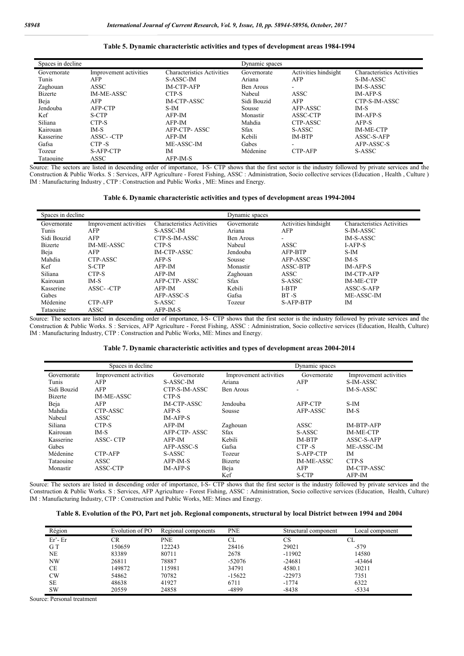#### **Table 5. Dynamic characteristic activities and types of development areas 1984-1994**

| Spaces in decline |                        |                                   | Dynamic spaces |                      |                                   |
|-------------------|------------------------|-----------------------------------|----------------|----------------------|-----------------------------------|
| Governorate       | Improvement activities | <b>Characteristics Activities</b> | Governorate    | Activities hindsight | <b>Characteristics Activities</b> |
| Tunis             | AFP                    | S-ASSC-IM                         | Ariana         | AFP                  | S-IM-ASSC                         |
| Zaghouan          | <b>ASSC</b>            | <b>IM-CTP-AFP</b>                 | Ben Arous      | ۰.                   | IM-S-ASSC                         |
| <b>Bizerte</b>    | IM-ME-ASSC             | CTP-S                             | Nabeul         | <b>ASSC</b>          | <b>IM-AFP-S</b>                   |
| Beja              | AFP                    | <b>IM-CTP-ASSC</b>                | Sidi Bouzid    | AFP                  | CTP-S-IM-ASSC                     |
| Jendouba          | AFP-CTP                | S-IM                              | Sousse         | AFP-ASSC             | IM-S                              |
| Kef               | S-CTP                  | $AFP-IM$                          | Monastir       | ASSC-CTP             | <b>IM-AFP-S</b>                   |
| Siliana           | CTP-S                  | $AFP-IM$                          | Mahdia         | CTP-ASSC             | AFP-S                             |
| Kairouan          | $IM-S$                 | AFP-CTP-ASSC                      | <b>Sfax</b>    | S-ASSC               | <b>IM-ME-CTP</b>                  |
| Kasserine         | ASSC-CTP               | $AFP-IM$                          | Kebili         | <b>IM-BTP</b>        | ASSC-S-AFP                        |
| Gafsa             | CTP-S                  | ME-ASSC-IM                        | Gabes          |                      | AFP-ASSC-S                        |
| Tozeur            | S-AFP-CTP              | ĪΜ                                | Médenine       | CTP-AFP              | S-ASSC                            |
| Tataouine         | <b>ASSC</b>            | AFP-IM-S                          |                |                      |                                   |

Source: The sectors are listed in descending order of importance, I-S- CTP shows that the first sector is the industry followed by private services and the Construction & Public Works. S : Services, AFP Agriculture - Forest Fishing, ASSC : Administration, Socio collective services (Education , Health , Culture ) IM : Manufacturing Industry , CTP : Construction and Public Works , ME: Mines and Energy.

#### **Table 6. Dynamic characteristic activities and types of development areas 1994-2004**

| Spaces in decline |                        |                                   | Dynamic spaces |                          |                                   |
|-------------------|------------------------|-----------------------------------|----------------|--------------------------|-----------------------------------|
| Governorate       | Improvement activities | <b>Characteristics Activities</b> | Governorate    | Activities hindsight     | <b>Characteristics Activities</b> |
| Tunis             | AFP                    | S-ASSC-IM                         | Ariana         | AFP                      | S-IM-ASSC                         |
| Sidi Bouzid       | AFP                    | CTP-S-IM-ASSC                     | Ben Arous      | $\overline{\phantom{a}}$ | IM-S-ASSC                         |
| <b>Bizerte</b>    | <b>IM-ME-ASSC</b>      | CTP-S                             | Nabeul         | ASSC                     | <b>I-AFP-S</b>                    |
| Beja              | AFP                    | <b>IM-CTP-ASSC</b>                | Jendouba       | AFP-BTP                  | S-IM                              |
| Mahdia            | CTP-ASSC               | AFP-S                             | Sousse         | AFP-ASSC                 | IM-S                              |
| Kef               | S-CTP                  | AFP-IM                            | Monastir       | ASSC-BTP                 | <b>IM-AFP-S</b>                   |
| Siliana           | CTP-S                  | AFP-IM                            | Zaghouan       | ASSC                     | <b>IM-CTP-AFP</b>                 |
| Kairouan          | $IM-S$                 | AFP-CTP-ASSC                      | <b>Sfax</b>    | S-ASSC                   | <b>IM-ME-CTP</b>                  |
| Kasserine         | ASSC--CTP              | AFP-IM                            | Kebili         | I-BTP                    | ASSC-S-AFP                        |
| Gabes             |                        | AFP-ASSC-S                        | Gafsa          | $BT-S$                   | ME-ASSC-IM                        |
| Médenine          | CTP-AFP                | S-ASSC                            | Tozeur         | <b>S-AFP-BTP</b>         | IM                                |
| Tataouine         | ASSC                   | AFP-IM-S                          |                |                          |                                   |

Source: The sectors are listed in descending order of importance, I-S- CTP shows that the first sector is the industry followed by private services and the Construction & Public Works. S : Services, AFP Agriculture - Forest Fishing, ASSC : Administration, Socio collective services (Education, Health, Culture) IM : Manufacturing Industry, CTP : Construction and Public Works, ME: Mines and Energy.

#### **Table 7. Dynamic characteristic activities and types of development areas 2004-2014**

|                | Spaces in decline      |                 |                        | Dynamic spaces |                        |
|----------------|------------------------|-----------------|------------------------|----------------|------------------------|
| Governorate    | Improvement activities | Governorate     | Improvement activities | Governorate    | Improvement activities |
| Tunis          | AFP                    | S-ASSC-IM       | Ariana                 | AFP            | S-IM-ASSC              |
| Sidi Bouzid    | AFP                    | CTP-S-IM-ASSC   | Ben Arous              |                | IM-S-ASSC              |
| <b>Bizerte</b> | <b>IM-ME-ASSC</b>      | CTP-S           |                        |                |                        |
| Beja           | AFP                    | IM-CTP-ASSC     | Jendouba               | AFP-CTP        | $S-IM$                 |
| Mahdia         | CTP-ASSC               | AFP-S           | Sousse                 | AFP-ASSC       | $IM-S$                 |
| Nabeul         | <b>ASSC</b>            | $IM-AFP-S$      |                        |                |                        |
| Siliana        | CTP-S                  | AFP-IM          | Zaghouan               | <b>ASSC</b>    | IM-BTP-AFP             |
| Kairouan       | $IM-S$                 | AFP-CTP-ASSC    | <b>Sfax</b>            | S-ASSC         | <b>IM-ME-CTP</b>       |
| Kasserine      | <b>ASSC-CTP</b>        | AFP-IM          | Kebili                 | <b>IM-BTP</b>  | ASSC-S-AFP             |
| Gabes          |                        | AFP-ASSC-S      | Gafsa                  | CTP-S          | ME-ASSC-IM             |
| Médenine       | <b>CTP-AFP</b>         | S-ASSC          | Tozeur                 | S-AFP-CTP      | IM                     |
| Tataouine      | <b>ASSC</b>            | AFP-IM-S        | <b>Bizerte</b>         | IM-ME-ASSC     | CTP-S                  |
| Monastir       | ASSC-CTP               | <b>IM-AFP-S</b> | Beja                   | AFP            | IM-CTP-ASSC            |
|                |                        |                 | Kef                    | S-CTP          | $AFP-IM$               |

Source: The sectors are listed in descending order of importance, I-S- CTP shows that the first sector is the industry followed by private services and the Construction & Public Works. S : Services, AFP Agriculture - Forest Fishing, ASSC : Administration, Socio collective services (Education, Health, Culture) IM : Manufacturing Industry, CTP : Construction and Public Works, ME: Mines and Energy.

| Table 8. Evolution of the PO, Part net job. Regional components, structural by local District between 1994 and 2004 |  |  |
|---------------------------------------------------------------------------------------------------------------------|--|--|
|                                                                                                                     |  |  |

| Région    | Evolution of PO | Regional components | <b>PNE</b> | Structural component | Local component |
|-----------|-----------------|---------------------|------------|----------------------|-----------------|
| Er'-Er    | CR              | <b>PNE</b>          | СL         | СS                   | CL              |
| G T       | 150659          | 122243              | 28416      | 29021                | $-579$          |
| NE        | 83389           | 80711               | 2678       | $-11902$             | 14580           |
| NW        | 26811           | 78887               | $-52076$   | $-24681$             | $-43464$        |
| СE        | 149872          | 115981              | 34791      | 4580.1               | 30211           |
| CW        | 54862           | 70782               | $-15622$   | $-22973$             | 7351            |
| <b>SE</b> | 48638           | 41927               | 6711       | $-1774$              | 6322            |
| <b>SW</b> | 20559           | 24858               | -4899      | $-8438$              | $-5334$         |

Source: Personal treatment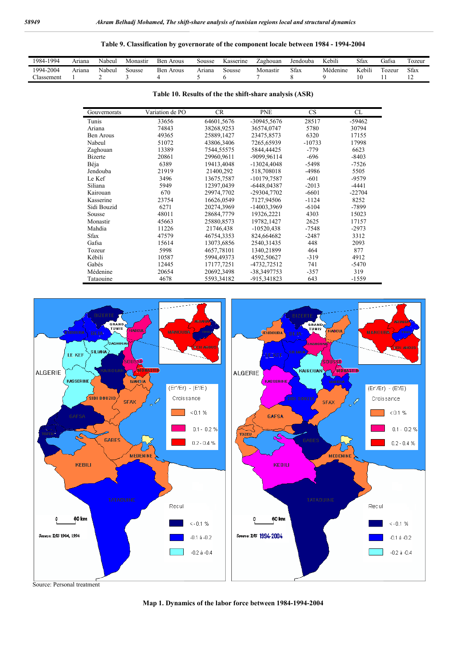### **Table 9. Classification by governorate of the component locale between 1984 - 1994-2004**

| 1994<br>$1984 -$ | Ariana | Nabeul | Monastir | Ben<br>Arous | Sousse | Kasserine | Zaghouan | Jendouba    | .<br>TZ.<br>Kebili | Sfax   | $\sim$<br>$\sim$<br>Gafsa | ozeur |
|------------------|--------|--------|----------|--------------|--------|-----------|----------|-------------|--------------------|--------|---------------------------|-------|
| 1994-2004        | Ariana | Nabeul | oousse   | Ben<br>Arous | Arıana | sousse    | Monastır | <b>Sfax</b> | Médenine           | Kebili | ozeur                     | Sfax  |
| lassement        |        |        |          |              |        |           |          |             |                    |        |                           |       |

| Table 10. Results of the the shift-share analysis (ASR) |  |
|---------------------------------------------------------|--|
|---------------------------------------------------------|--|

| Gouvernorats   | Variation de PO | <b>CR</b>  | <b>PNE</b>    | <b>CS</b> | CL       |
|----------------|-----------------|------------|---------------|-----------|----------|
| Tunis          | 33656           | 64601,5676 | -30945,5676   | 28517     | -59462   |
| Ariana         | 74843           | 38268,9253 | 36574,0747    | 5780      | 30794    |
| Ben Arous      | 49365           | 25889,1427 | 23475,8573    | 6320      | 17155    |
| Nabeul         | 51072           | 43806,3406 | 7265,65939    | $-10733$  | 17998    |
| Zaghouan       | 13389           | 7544,55575 | 5844,44425    | $-779$    | 6623     |
| <b>Bizerte</b> | 20861           | 29960,9611 | -9099,96114   | $-696$    | $-8403$  |
| Béja           | 6389            | 19413,4048 | $-13024,4048$ | $-5498$   | $-7526$  |
| Jendouba       | 21919           | 21400,292  | 518,708018    | -4986     | 5505     |
| Le Kef         | 3496            | 13675,7587 | $-10179,7587$ | $-601$    | $-9579$  |
| Siliana        | 5949            | 12397,0439 | $-6448,04387$ | $-2013$   | $-4441$  |
| Kairouan       | 670             | 29974,7702 | -29304,7702   | $-6601$   | $-22704$ |
| Kasserine      | 23754           | 16626,0549 | 7127,94506    | $-1124$   | 8252     |
| Sidi Bouzid    | 6271            | 20274,3969 | -14003,3969   | $-6104$   | -7899    |
| Sousse         | 48011           | 28684,7779 | 19326,2221    | 4303      | 15023    |
| Monastir       | 45663           | 25880,8573 | 19782,1427    | 2625      | 17157    |
| Mahdia         | 11226           | 21746,438  | $-10520,438$  | -7548     | $-2973$  |
| <b>Sfax</b>    | 47579           | 46754,3353 | 824,664682    | $-2487$   | 3312     |
| Gafsa          | 15614           | 13073,6856 | 2540,31435    | 448       | 2093     |
| Tozeur         | 5998            | 4657,78101 | 1340,21899    | 464       | 877      |
| Kébili         | 10587           | 5994,49373 | 4592,50627    | $-319$    | 4912     |
| Gabés          | 12445           | 17177,7251 | -4732,72512   | 741       | $-5470$  |
| Médenine       | 20654           | 20692,3498 | -38,3497753   | $-357$    | 319      |
| Tataouine      | 4678            | 5593,34182 | -915,341823   | 643       | $-1559$  |



**Map 1. Dynamics of the labor force between 1984-1994-2004**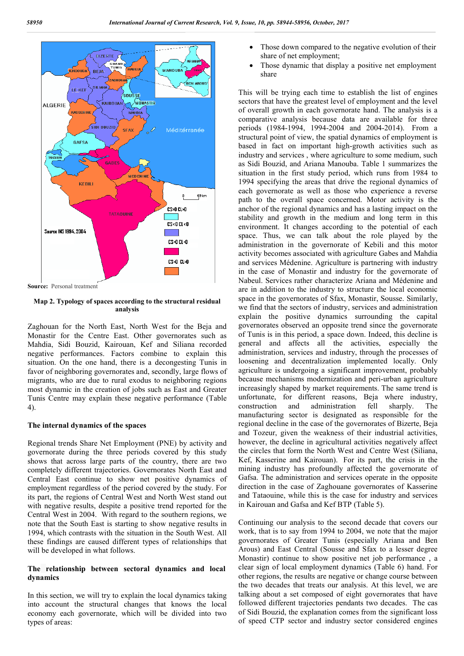

**Source:** Personal treatment

**Map 2. Typology of spaces according to the structural residual analysis**

Zaghouan for the North East, North West for the Beja and Monastir for the Centre East. Other governorates such as Mahdia, Sidi Bouzid, Kairouan, Kef and Siliana recorded negative performances. Factors combine to explain this situation. On the one hand, there is a decongesting Tunis in favor of neighboring governorates and, secondly, large flows of migrants, who are due to rural exodus to neighboring regions most dynamic in the creation of jobs such as East and Greater Tunis Centre may explain these negative performance (Table 4).

#### **The internal dynamics of the spaces**

Regional trends Share Net Employment (PNE) by activity and governorate during the three periods covered by this study shows that across large parts of the country, there are two completely different trajectories. Governorates North East and Central East continue to show net positive dynamics of employment regardless of the period covered by the study. For its part, the regions of Central West and North West stand out with negative results, despite a positive trend reported for the Central West in 2004. With regard to the southern regions, we note that the South East is starting to show negative results in 1994, which contrasts with the situation in the South West. All these findings are caused different types of relationships that will be developed in what follows.

### **The relationship between sectoral dynamics and local dynamics**

In this section, we will try to explain the local dynamics taking into account the structural changes that knows the local economy each governorate, which will be divided into two types of areas:

- Those down compared to the negative evolution of their share of net employment;
- Those dynamic that display a positive net employment share

This will be trying each time to establish the list of engines sectors that have the greatest level of employment and the level of overall growth in each governorate hand. The analysis is a comparative analysis because data are available for three periods (1984-1994, 1994-2004 and 2004-2014). From a structural point of view, the spatial dynamics of employment is based in fact on important high-growth activities such as industry and services , where agriculture to some medium, such as Sidi Bouzid, and Ariana Manouba. Table 1 summarizes the situation in the first study period, which runs from 1984 to 1994 specifying the areas that drive the regional dynamics of each governorate as well as those who experience a reverse path to the overall space concerned. Motor activity is the anchor of the regional dynamics and has a lasting impact on the stability and growth in the medium and long term in this environment. It changes according to the potential of each space. Thus, we can talk about the role played by the administration in the governorate of Kebili and this motor activity becomes associated with agriculture Gabes and Mahdia and services Médenine. Agriculture is partnering with industry in the case of Monastir and industry for the governorate of Nabeul. Services rather characterize Ariana and Médenine and are in addition to the industry to structure the local economic space in the governorates of Sfax, Monastir, Sousse. Similarly, we find that the sectors of industry, services and administration explain the positive dynamics surrounding the capital governorates observed an opposite trend since the governorate of Tunis is in this period, a space down. Indeed, this decline is general and affects all the activities, especially the administration, services and industry, through the processes of loosening and decentralization implemented locally. Only agriculture is undergoing a significant improvement, probably because mechanisms modernization and peri-urban agriculture increasingly shaped by market requirements. The same trend is unfortunate, for different reasons, Beja where industry, construction and administration fell sharply. The manufacturing sector is designated as responsible for the regional decline in the case of the governorates of Bizerte, Beja and Tozeur, given the weakness of their industrial activities, however, the decline in agricultural activities negatively affect the circles that form the North West and Centre West (Siliana, Kef, Kasserine and Kairouan). For its part, the crisis in the mining industry has profoundly affected the governorate of Gafsa. The administration and services operate in the opposite direction in the case of Zaghouane governorates of Kasserine and Tataouine, while this is the case for industry and services in Kairouan and Gafsa and Kef BTP (Table 5).

Continuing our analysis to the second decade that covers our work, that is to say from 1994 to 2004, we note that the major governorates of Greater Tunis (especially Ariana and Ben Arous) and East Central (Sousse and Sfax to a lesser degree Monastir) continue to show positive net job performance , a clear sign of local employment dynamics (Table 6) hand. For other regions, the results are negative or change course between the two decades that treats our analysis. At this level, we are talking about a set composed of eight governorates that have followed different trajectories pendants two decades. The cas of Sidi Bouzid, the explanation comes from the significant loss of speed CTP sector and industry sector considered engines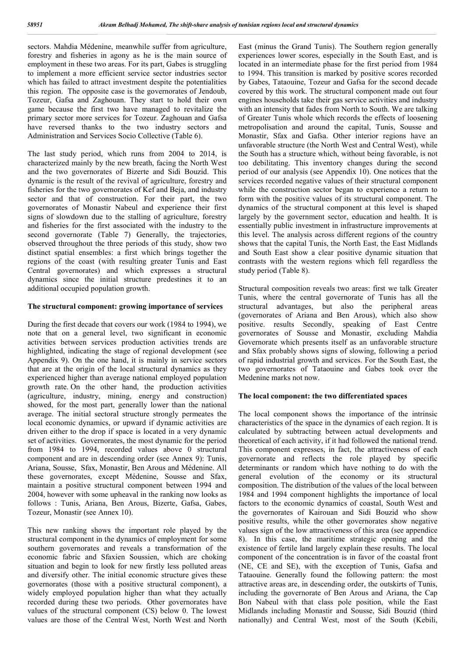sectors. Mahdia Médenine, meanwhile suffer from agriculture, forestry and fisheries in agony as he is the main source of employment in these two areas. For its part, Gabes is struggling to implement a more efficient service sector industries sector which has failed to attract investment despite the potentialities this region. The opposite case is the governorates of Jendoub, Tozeur, Gafsa and Zaghouan. They start to hold their own game because the first two have managed to revitalize the primary sector more services for Tozeur. Zaghouan and Gafsa have reversed thanks to the two industry sectors and Administration and Services Socio Collective (Table 6).

The last study period, which runs from 2004 to 2014, is characterized mainly by the new breath, facing the North West and the two governorates of Bizerte and Sidi Bouzid. This dynamic is the result of the revival of agriculture, forestry and fisheries for the two governorates of Kef and Beja, and industry sector and that of construction. For their part, the two governorates of Monastir Nabeul and experience their first signs of slowdown due to the stalling of agriculture, forestry and fisheries for the first associated with the industry to the second governorate (Table 7) Generally, the trajectories, observed throughout the three periods of this study, show two distinct spatial ensembles: a first which brings together the regions of the coast (with resulting greater Tunis and East Central governorates) and which expresses a structural dynamics since the initial structure predestines it to an additional occupied population growth.

### **The structural component: growing importance of services**

During the first decade that covers our work (1984 to 1994), we note that on a general level, two significant in economic activities between services production activities trends are highlighted, indicating the stage of regional development (see Appendix 9). On the one hand, it is mainly in service sectors that are at the origin of the local structural dynamics as they experienced higher than average national employed population growth rate. On the other hand, the production activities (agriculture, industry, mining, energy and construction) showed, for the most part, generally lower than the national average. The initial sectoral structure strongly permeates the local economic dynamics, or upward if dynamic activities are driven either to the drop if space is located in a very dynamic set of activities. Governorates, the most dynamic for the period from 1984 to 1994, recorded values above 0 structural component and are in descending order (see Annex 9): Tunis, Ariana, Sousse, Sfax, Monastir, Ben Arous and Médenine. All these governorates, except Médenine, Sousse and Sfax, maintain a positive structural component between 1994 and 2004, however with some upheaval in the ranking now looks as follows : Tunis, Ariana, Ben Arous, Bizerte, Gafsa, Gabes, Tozeur, Monastir (see Annex 10).

This new ranking shows the important role played by the structural component in the dynamics of employment for some southern governorates and reveals a transformation of the economic fabric and Sfaxien Soussien, which are choking situation and begin to look for new firstly less polluted areas and diversify other. The initial economic structure gives these governorates (those with a positive structural component), a widely employed population higher than what they actually recorded during these two periods. Other governorates have values of the structural component (CS) below 0. The lowest values are those of the Central West, North West and North

East (minus the Grand Tunis). The Southern region generally experiences lower scores, especially in the South East, and is located in an intermediate phase for the first period from 1984 to 1994. This transition is marked by positive scores recorded by Gabes, Tataouine, Tozeur and Gafsa for the second decade covered by this work. The structural component made out four engines households take their gas service activities and industry with an intensity that fades from North to South. We are talking of Greater Tunis whole which records the effects of loosening metropolisation and around the capital, Tunis, Sousse and Monastir, Sfax and Gafsa. Other interior regions have an unfavorable structure (the North West and Central West), while the South has a structure which, without being favorable, is not too debilitating. This inventory changes during the second period of our analysis (see Appendix 10). One notices that the services recorded negative values of their structural component while the construction sector began to experience a return to form with the positive values of its structural component. The dynamics of the structural component at this level is shaped largely by the government sector, education and health. It is essentially public investment in infrastructure improvements at this level. The analysis across different regions of the country shows that the capital Tunis, the North East, the East Midlands and South East show a clear positive dynamic situation that contrasts with the western regions which fell regardless the study period (Table 8).

Structural composition reveals two areas: first we talk Greater Tunis, where the central governorate of Tunis has all the structural advantages, but also the peripheral areas (governorates of Ariana and Ben Arous), which also show positive. results Secondly, speaking of East Centre governorates of Sousse and Monastir, excluding Mahdia Governorate which presents itself as an unfavorable structure and Sfax probably shows signs of slowing, following a period of rapid industrial growth and services. For the South East, the two governorates of Tataouine and Gabes took over the Medenine marks not now.

### **The local component: the two differentiated spaces**

The local component shows the importance of the intrinsic characteristics of the space in the dynamics of each region. It is calculated by subtracting between actual developments and theoretical of each activity, if it had followed the national trend. This component expresses, in fact, the attractiveness of each governorate and reflects the role played by specific determinants or random which have nothing to do with the general evolution of the economy or its structural composition. The distribution of the values of the local between 1984 and 1994 component highlights the importance of local factors to the economic dynamics of coastal, South West and the governorates of Kairouan and Sidi Bouzid who show positive results, while the other governorates show negative values sign of the low attractiveness of this area (see appendice 8). In this case, the maritime strategic opening and the existence of fertile land largely explain these results. The local component of the concentration is in favor of the coastal front (NE, CE and SE), with the exception of Tunis, Gafsa and Tataouine. Generally found the following pattern: the most attractive areas are, in descending order, the outskirts of Tunis, including the governorate of Ben Arous and Ariana, the Cap Bon Nabeul with that class pole position, while the East Midlands including Monastir and Sousse, Sidi Bouzid (third nationally) and Central West, most of the South (Kebili,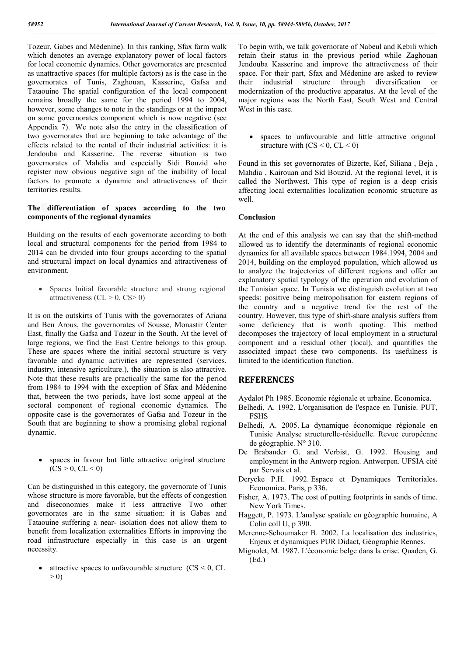Tozeur, Gabes and Médenine). In this ranking, Sfax farm walk which denotes an average explanatory power of local factors for local economic dynamics. Other governorates are presented as unattractive spaces (for multiple factors) as is the case in the governorates of Tunis, Zaghouan, Kasserine, Gafsa and Tataouine The spatial configuration of the local component remains broadly the same for the period 1994 to 2004, however, some changes to note in the standings or at the impact on some governorates component which is now negative (see Appendix 7). We note also the entry in the classification of two governorates that are beginning to take advantage of the effects related to the rental of their industrial activities: it is Jendouba and Kasserine. The reverse situation is two governorates of Mahdia and especially Sidi Bouzid who register now obvious negative sign of the inability of local factors to promote a dynamic and attractiveness of their territories results.

### **The differentiation of spaces according to the two components of the regional dynamics**

Building on the results of each governorate according to both local and structural components for the period from 1984 to 2014 can be divided into four groups according to the spatial and structural impact on local dynamics and attractiveness of environment.

• Spaces Initial favorable structure and strong regional attractiveness  $(CL > 0, CS > 0)$ 

It is on the outskirts of Tunis with the governorates of Ariana and Ben Arous, the governorates of Sousse, Monastir Center East, finally the Gafsa and Tozeur in the South. At the level of large regions, we find the East Centre belongs to this group. These are spaces where the initial sectoral structure is very favorable and dynamic activities are represented (services, industry, intensive agriculture.), the situation is also attractive. Note that these results are practically the same for the period from 1984 to 1994 with the exception of Sfax and Médenine that, between the two periods, have lost some appeal at the sectoral component of regional economic dynamics. The opposite case is the governorates of Gafsa and Tozeur in the South that are beginning to show a promising global regional dynamic.

 spaces in favour but little attractive original structure  $(CS > 0, CL < 0)$ 

Can be distinguished in this category, the governorate of Tunis whose structure is more favorable, but the effects of congestion and diseconomies make it less attractive Two other governorates are in the same situation: it is Gabes and Tataouine suffering a near- isolation does not allow them to benefit from localization externalities Efforts in improving the road infrastructure especially in this case is an urgent necessity.

attractive spaces to unfavourable structure  $(CS \le 0, CL)$  $> 0$ 

To begin with, we talk governorate of Nabeul and Kebili which retain their status in the previous period while Zaghouan Jendouba Kasserine and improve the attractiveness of their space. For their part, Sfax and Médenine are asked to review their industrial structure through diversification or modernization of the productive apparatus. At the level of the major regions was the North East, South West and Central West in this case.

 spaces to unfavourable and little attractive original structure with  $(CS < 0, CL < 0)$ 

Found in this set governorates of Bizerte, Kef, Siliana , Beja , Mahdia , Kairouan and Sid Bouzid. At the regional level, it is called the Northwest. This type of region is a deep crisis affecting local externalities localization economic structure as well.

### **Conclusion**

At the end of this analysis we can say that the shift-method allowed us to identify the determinants of regional economic dynamics for all available spaces between 1984.1994, 2004 and 2014, building on the employed population, which allowed us to analyze the trajectories of different regions and offer an explanatory spatial typology of the operation and evolution of the Tunisian space. In Tunisia we distinguish evolution at two speeds: positive being metropolisation for eastern regions of the country and a negative trend for the rest of the country. However, this type of shift-share analysis suffers from some deficiency that is worth quoting. This method decomposes the trajectory of local employment in a structural component and a residual other (local), and quantifies the associated impact these two components. Its usefulness is limited to the identification function.

### **REFERENCES**

Aydalot Ph 1985. Economie régionale et urbaine. Economica.

- Belhedi, A. 1992. L'organisation de l'espace en Tunisie. PUT, FSHS
- Belhedi, A. 2005. La dynamique économique régionale en Tunisie Analyse structurelle-résiduelle. Revue européenne de géographie. N° 310.
- De Brabander G. and Verbist, G. 1992. Housing and employment in the Antwerp region. Antwerpen. UFSIA cité par Servais et al.
- Derycke P.H. 1992. Espace et Dynamiques Territoriales. Economica. Paris, p 336.
- Fisher, A. 1973. The cost of putting footprints in sands of time. New York Times.
- Haggett, P. 1973. L'analyse spatiale en géographie humaine, A Colin coll U, p 390.
- Merenne-Schoumaker B. 2002. La localisation des industries, Enjeux et dynamiques PUR Didact, Géographie Rennes.
- Mignolet, M. 1987. L'économie belge dans la crise. Quaden, G. (Ed.)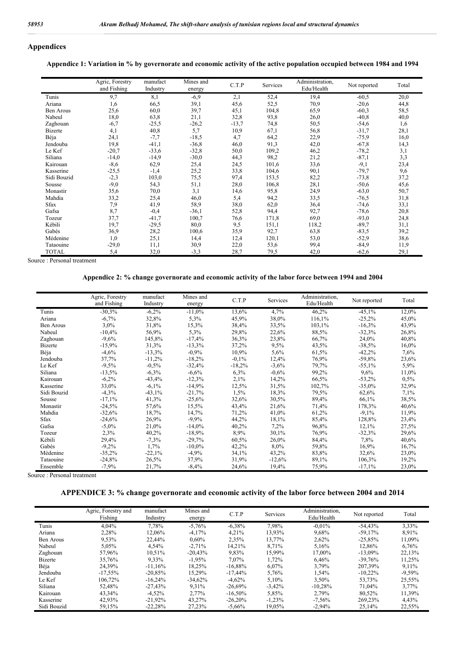# **Appendices**

**Appendice 1: Variation in % by governorate and economic activity of the active population occupied between 1984 and 1994**

|                | Agric, Forestry | manufact | Mines and | C.T.P   | Services | Administration, | Not reported | Total |
|----------------|-----------------|----------|-----------|---------|----------|-----------------|--------------|-------|
|                | and Fishing     | Industry | energy    |         |          | Edu/Health      |              |       |
| Tunis          | 9,7             | 8,1      | $-6,9$    | 2,1     | 52,4     | 19,4            | $-60,5$      | 20,0  |
| Ariana         | 1,6             | 66,5     | 39,1      | 45,6    | 52,5     | 70,9            | $-20,6$      | 44,8  |
| Ben Arous      | 25,6            | 60,0     | 39,7      | 45,1    | 104,8    | 65,9            | $-60,3$      | 58,5  |
| Nabeul         | 18,0            | 63,8     | 21,1      | 32,8    | 93,8     | 26,0            | $-40,8$      | 40,0  |
| Zaghouan       | $-6,7$          | $-25,5$  | $-26,2$   | $-13,7$ | 74,8     | 50,5            | $-54,6$      | 1,6   |
| <b>Bizerte</b> | 4,1             | 40,8     | 5,7       | 10,9    | 67,1     | 56,8            | $-31,7$      | 28,1  |
| Béja           | 24,1            | $-7,7$   | $-18,5$   | 4,7     | 64,2     | 22,9            | $-75,9$      | 16,0  |
| Jendouba       | 19,8            | $-41,1$  | $-36,8$   | 46,0    | 91,3     | 42,0            | $-67,8$      | 14,3  |
| Le Kef         | $-20,7$         | $-33,6$  | $-32,8$   | 50,0    | 109,2    | 46,2            | $-78,2$      | 3,1   |
| Siliana        | $-14,0$         | $-14,9$  | $-30,0$   | 44,3    | 98,2     | 21,2            | $-87,1$      | 3,3   |
| Kairouan       | $-8,6$          | 62,9     | 25,4      | 24,5    | 101,6    | 33,6            | $-9,1$       | 23,4  |
| Kasserine      | $-25,5$         | $-1,4$   | 25,2      | 33,8    | 104,6    | 90,1            | $-79,7$      | 9,6   |
| Sidi Bouzid    | $-2,3$          | 103,0    | 75,5      | 97,4    | 153,5    | 82,2            | $-73,8$      | 37,2  |
| Sousse         | $-9,0$          | 54,3     | 51,1      | 28,0    | 106,8    | 28,1            | $-50,6$      | 45,6  |
| Monastir       | 35,6            | 70,0     | 3,1       | 14,6    | 95,8     | 24,9            | $-63,0$      | 50,7  |
| Mahdia         | 33,2            | 25,4     | 46,0      | 5,4     | 94,2     | 33,5            | $-76,5$      | 31,8  |
| Sfax           | 7,9             | 41,9     | 58,9      | 38,0    | 62,0     | 36,4            | $-74,6$      | 33,1  |
| Gafsa          | 8,7             | $-0,4$   | $-36,1$   | 52,8    | 94,4     | 92,7            | $-78,6$      | 20,8  |
| Tozeur         | 37,7            | $-41,7$  | 100,7     | 76,6    | 171,8    | 69,0            | $-93,0$      | 24,8  |
| Kébili         | 19,7            | $-29,5$  | 80,0      | 9,5     | 151,1    | 118,2           | $-89,7$      | 31,1  |
| Gabés          | 36,9            | 28,2     | 100,6     | 35,9    | 92,7     | 63,8            | $-83,5$      | 39,2  |
| Médenine       | 1,0             | 25,1     | 14,4      | 12,4    | 120,1    | 53,0            | $-52,9$      | 38,6  |
| Tataouine      | $-29,0$         | 11,1     | 30,9      | 22,0    | 53,6     | 99,4            | $-84,9$      | 11,9  |
| <b>TOTAL</b>   | 5,4             | 32,0     | $-3,3$    | 28,7    | 79,5     | 42,0            | $-62,6$      | 29,1  |

Source : Personal treatment

### **Appendice 2: % change governorate and economic activity of the labor force between 1994 and 2004**

|                | Agric, Forestry<br>and Fishing | manufact<br>Industry | Mines and | C.T.P    | Services | Administration,<br>Edu/Health | Not reported | Total |
|----------------|--------------------------------|----------------------|-----------|----------|----------|-------------------------------|--------------|-------|
|                |                                |                      | energy    |          |          |                               |              |       |
| Tunis          | $-30,3%$                       | $-6,2%$              | $-11,0%$  | 13,6%    | 4,7%     | 46,2%                         | $-45,1%$     | 12,0% |
| Ariana         | $-6,7%$                        | 32,8%                | 5,3%      | 45,9%    | 38,0%    | 116,1%                        | $-25,2%$     | 45,0% |
| Ben Arous      | $3.0\%$                        | 31,8%                | 15,3%     | 38,4%    | 33,5%    | 103,1%                        | $-16,3%$     | 43,9% |
| Nabeul         | $-10,4%$                       | 56,9%                | 5,3%      | 29,8%    | 22,6%    | 88,5%                         | $-32,3%$     | 26,8% |
| Zaghouan       | $-9,6%$                        | 145,8%               | $-17,4%$  | 36,3%    | 23,8%    | 66,7%                         | 24,0%        | 40,8% |
| <b>Bizerte</b> | $-15,9%$                       | 31,3%                | $-13,3%$  | 37,2%    | 9,5%     | 43,5%                         | $-38,5%$     | 16,0% |
| Béja           | $-4,6%$                        | $-13,3%$             | $-0.9\%$  | 10,9%    | 5,6%     | 61,5%                         | $-42,2%$     | 7,6%  |
| Jendouba       | 37,7%                          | $-11,2%$             | $-18,2%$  | $-0.1\%$ | 12,4%    | 76,9%                         | $-59,8%$     | 23,6% |
| Le Kef         | $-9,5%$                        | $-0.5%$              | $-32,4%$  | $-18,2%$ | $-3,6%$  | 79,7%                         | $-55,1%$     | 5,9%  |
| Siliana        | $-13,5%$                       | $-6,3%$              | $-6,6%$   | $6.3\%$  | $-0.6\%$ | 99,2%                         | 9,6%         | 11,0% |
| Kairouan       | $-6,2%$                        | $-43,4%$             | $-12,3%$  | 2,1%     | 14,2%    | 66,5%                         | $-53,2%$     | 0,5%  |
| Kasserine      | 33,0%                          | $-6,1%$              | $-14,9%$  | 12,5%    | 31,5%    | 102,7%                        | $-35,0%$     | 32,9% |
| Sidi Bouzid    | $-4,3%$                        | $-43,1%$             | $-21,7%$  | 1,5%     | 18,3%    | 79,5%                         | 62,6%        | 7,1%  |
| Sousse         | $-17,1%$                       | 41,3%                | $-25,6%$  | 32,6%    | 30,5%    | 89,4%                         | 66,1%        | 38,5% |
| Monastir       | $-24,5%$                       | 57,6%                | 15,5%     | 43,4%    | 21,6%    | 71,4%                         | 178,3%       | 40,6% |
| Mahdia         | $-32,6%$                       | 18,7%                | 14,7%     | 71,2%    | 41,0%    | 61,2%                         | $-9,1%$      | 11,9% |
| Sfax           | $-24,6%$                       | 26,9%                | $-9,9%$   | 44,2%    | 18,1%    | 85,4%                         | 128,8%       | 23,4% |
| Gafsa          | $-5,0\%$                       | 21,0%                | $-14,0%$  | 40,2%    | $7.2\%$  | 96,8%                         | 12.1%        | 27,5% |
| Tozeur         | 2.3%                           | 40,2%                | $-18.9%$  | 8.9%     | 30,1%    | 76,9%                         | $-32,3%$     | 29,6% |
| Kébili         | 29,4%                          | $-7,3%$              | $-29,7%$  | 60,5%    | 26,0%    | 84,4%                         | 7,8%         | 40,6% |
| Gabés          | $-9,2%$                        | 1,7%                 | $-10,0%$  | 42,2%    | 8,0%     | 59,8%                         | 16,9%        | 16,7% |
| Médenine       | $-35,2%$                       | $-22,1%$             | $-4,9%$   | 34,1%    | 43,2%    | 83,8%                         | 32,6%        | 23,0% |
| Tataouine      | $-24,8%$                       | 26,5%                | 37,9%     | 31,9%    | $-12,6%$ | 89,1%                         | 106,3%       | 19,2% |
| Ensemble       | $-7,9%$                        | 21,7%                | $-8,4%$   | 24,6%    | 19,4%    | 75,9%                         | $-17,1%$     | 23,0% |

Source : Personal treatment

### **APPENDICE 3: % change governorate and economic activity of the labor force between 2004 and 2014**

|                | Agric, Forestry and<br>Fishing | manufact<br>Industry | Mines and<br>energy | C.T.P      | Services  | Administration,<br>Edu/Health | Not reported | Total    |
|----------------|--------------------------------|----------------------|---------------------|------------|-----------|-------------------------------|--------------|----------|
| Tunis          | 4.04%                          | 7.78%                | $-5,76%$            | $-6,38%$   | 7.98%     | $-0.01%$                      | $-54.43%$    | 3.33%    |
| Ariana         | 2.28%                          | 12.06%               | $-4,17%$            | 4.21%      | 13.93%    | 9.68%                         | $-59.17%$    | 8,91%    |
| Ben Arous      | 9.53%                          | 22.44%               | $0.60\%$            | 2,35%      | 13.77%    | 2,62%                         | $-25,85%$    | 11,09%   |
| Nabeul         | 5.05%                          | 4,54%                | $-2,71%$            | 14,21%     | 8.71%     | 5,16%                         | 12,86%       | 6,76%    |
| Zaghouan       | 57.96%                         | 10,51%               | $-20,43%$           | 9,83%      | 15.99%    | 17.00%                        | $-13,09\%$   | 22,13%   |
| <b>Bizerte</b> | 35.76%                         | 9.33%                | $-1,95%$            | 7.07%      | 1.72%     | 6.46%                         | $-39.76%$    | 11,25%   |
| Béja           | 24,39%                         | $-11.16%$            | 18,25%              | $-16,88%$  | 6,07%     | 3.79%                         | 207,39%      | 9,11%    |
| Jendouba       | $-17.55\%$                     | $-20.85%$            | 15.29%              | $-17.44%$  | 5,76%     | 1.54%                         | $-10.22\%$   | $-9,59%$ |
| Le Kef         | 106.72%                        | $-16.24%$            | $-34,62%$           | $-4.62\%$  | 5.10%     | 3.50%                         | 53.73%       | 25,55%   |
| Siliana        | 52.48%                         | $-27,43%$            | 9,31%               | $-26,69%$  | $-3,42\%$ | $-10,28%$                     | 71,04%       | 3,77%    |
| Kairouan       | 43.34%                         | $-4.52\%$            | 2.77%               | $-16.50\%$ | 5.85%     | 2.79%                         | 80.52%       | 11,39%   |
| Kasserine      | 42,93%                         | $-21,92\%$           | 43,27%              | $-26,20%$  | $-1,23%$  | $-7,56%$                      | 269.23%      | 4,43%    |
| Sidi Bouzid    | 59.15%                         | $-22.28%$            | 27.23%              | $-5.66\%$  | 19.05%    | $-2.94%$                      | 25.14%       | 22.55%   |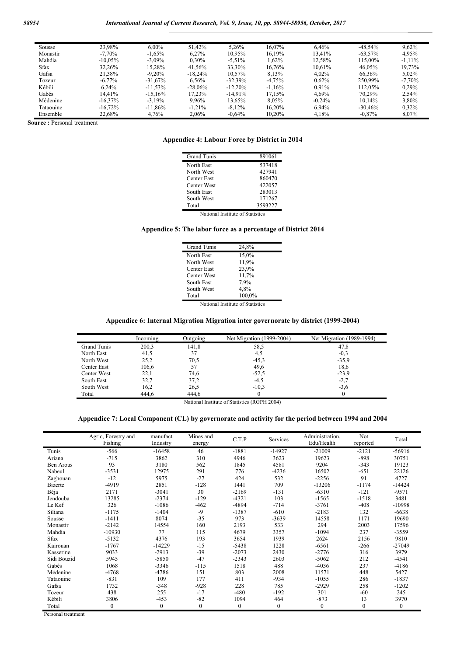| Sousse    | 23,98%     | $6.00\%$   | 51.42%     | 5.26%      | 16.07%    | 6.46%     | $-48.54%$  | 9,62%     |
|-----------|------------|------------|------------|------------|-----------|-----------|------------|-----------|
| Monastir  | $-7,70%$   | $-1,65%$   | 6.27%      | 10,95%     | 16,19%    | 13,41%    | $-63,57\%$ | 4,95%     |
| Mahdia    | $-10.05\%$ | $-3,09\%$  | $0.30\%$   | $-5,51\%$  | 1.62%     | 12,58%    | 115.00%    | $-1,11\%$ |
| Sfax      | 32,26%     | 15,28%     | 41.56%     | 33,30%     | 16,76%    | $10.61\%$ | 46.05%     | 19,73%    |
| Gafsa     | 21,38%     | $-9.20\%$  | $-18.24\%$ | 10,57%     | 8,13%     | $4.02\%$  | 66.36%     | 5,02%     |
| Tozeur    | $-6.77\%$  | $-31.67\%$ | 6.56%      | $-32.39\%$ | $-4,75%$  | 0.62%     | 250.99%    | $-7,70%$  |
| Kébili    | $6.24\%$   | $-11.53\%$ | $-28.06\%$ | $-12.20\%$ | $-1.16\%$ | $0.91\%$  | 112.05%    | 0.29%     |
| Gabés     | 14.41%     | $-15.16\%$ | 17.23%     | $-14.91\%$ | 17.15%    | 4.69%     | 70.29%     | 2.54%     |
| Médenine  | $-16.37\%$ | $-3.19\%$  | 9.96%      | 13,65%     | 8.05%     | $-0.24%$  | $10.14\%$  | 3,80%     |
| Tataouine | $-16.72\%$ | $-11.86\%$ | $-1,21%$   | $-8,12\%$  | 16.20%    | 6.94%     | $-30.46%$  | 0.32%     |
| Ensemble  | 22,68%     | 4.76%      | 2,06%      | $-0.64\%$  | 10,20%    | 4.18%     | $-0.87\%$  | 8,07%     |

**Source :** Personal treatment

#### **Appendice 4: Labour Force by District in 2014**

| 891061  |
|---------|
| 537418  |
| 427941  |
| 860470  |
| 422057  |
| 283013  |
| 171267  |
| 3593227 |
|         |

National Institute of Statistics

### **Appendice 5: The labor force as a percentage of District 2014**

| Grand Tunis | 24,8%  |
|-------------|--------|
| North East  | 15,0%  |
| North West  | 11,9%  |
| Center East | 23,9%  |
| Center West | 11,7%  |
| South East  | 7.9%   |
| South West  | 4.8%   |
| Total       | 100.0% |

National Institute of Statistics

### **Appendice 6: Internal Migration Migration inter governorate by district (1999-2004)**

|                    | Incoming | Outgoing | Net Migration (1999-2004) | Net Migration (1989-1994) |
|--------------------|----------|----------|---------------------------|---------------------------|
| <b>Grand Tunis</b> | 200,3    | 141,8    | 58,5                      | 47,8                      |
| North East         | 41,5     | 37       | 4,5                       | $-0.3$                    |
| North West         | 25,2     | 70,5     | $-45.3$                   | $-35.9$                   |
| Center East        | 106,6    | 57       | 49,6                      | 18,6                      |
| Center West        | 22,1     | 74,6     | $-52,5$                   | $-23.9$                   |
| South East         | 32,7     | 37,2     | $-4,5$                    | $-2,7$                    |
| South West         | 16,2     | 26,5     | $-10.3$                   | $-3.6$                    |
| Total              | 444.6    | 444.6    |                           |                           |

National Institute of Statistics (RGPH 2004)

### **Appendice 7: Local Component (CL) by governorate and activity for the period between 1994 and 2004**

|                  | Agric, Forestry and<br>Fishing | manufact<br>Industry | Mines and<br>energy | C.T.P        | Services     | Administration,<br>Edu/Health | Not<br>reported | Total        |
|------------------|--------------------------------|----------------------|---------------------|--------------|--------------|-------------------------------|-----------------|--------------|
| Tunis            | $-566$                         | $-16458$             | 46                  | $-1881$      | $-14927$     | $-21009$                      | $-2121$         | $-56916$     |
| Ariana           | $-715$                         | 3862                 | 310                 | 4946         | 3623         | 19623                         | $-898$          | 30751        |
| <b>Ben Arous</b> | 93                             | 3180                 | 562                 | 1845         | 4581         | 9204                          | $-343$          | 19123        |
| Nabeul           | $-3531$                        | 12975                | 291                 | 776          | $-4236$      | 16502                         | $-651$          | 22126        |
| Zaghouan         | $-12$                          | 5975                 | $-27$               | 424          | 532          | $-2256$                       | 91              | 4727         |
| <b>Bizerte</b>   | $-4919$                        | 2851                 | $-128$              | 1441         | 709          | $-13206$                      | $-1174$         | $-14424$     |
| Béja             | 2171                           | $-3041$              | 30                  | $-2169$      | $-131$       | $-6310$                       | $-121$          | $-9571$      |
| Jendouba         | 13285                          | $-2374$              | $-129$              | $-4321$      | 103          | $-1565$                       | $-1518$         | 3481         |
| Le Kef           | 326                            | $-1086$              | $-462$              | -4894        | $-714$       | $-3761$                       | $-408$          | $-10998$     |
| Siliana          | $-1175$                        | $-1404$              | $-9$                | $-1387$      | $-610$       | $-2183$                       | 132             | $-6638$      |
| Sousse           | $-1411$                        | 8074                 | $-35$               | 973          | $-3639$      | 14558                         | 1171            | 19690        |
| Monastir         | $-2142$                        | 14554                | 160                 | 2193         | 533          | 294                           | 2003            | 17596        |
| Mahdia           | $-10930$                       | 77                   | 115                 | 4679         | 3357         | $-1094$                       | 237             | $-3559$      |
| <b>Sfax</b>      | $-5132$                        | 4376                 | 193                 | 3654         | 1939         | 2624                          | 2156            | 9810         |
| Kairouan         | $-1767$                        | $-14229$             | $-15$               | $-5438$      | 1228         | $-6561$                       | $-266$          | $-27049$     |
| Kasserine        | 9033                           | $-2913$              | $-39$               | $-2073$      | 2430         | $-2776$                       | 316             | 3979         |
| Sidi Bouzid      | 5945                           | $-5850$              | $-47$               | $-2343$      | 2603         | $-5062$                       | 212             | $-4541$      |
| Gabès            | 1068                           | $-3346$              | $-115$              | 1518         | 488          | $-4036$                       | 237             | $-4186$      |
| Médenine         | $-4768$                        | -4786                | 151                 | 803          | 2008         | 11571                         | 448             | 5427         |
| Tataouine        | $-831$                         | 109                  | 177                 | 411          | $-934$       | $-1055$                       | 286             | $-1837$      |
| Gafsa            | 1732                           | $-348$               | $-928$              | 228          | 785          | $-2929$                       | 258             | $-1202$      |
| Tozeur           | 438                            | 255                  | $-17$               | $-480$       | $-192$       | 301                           | $-60$           | 245          |
| Kébili           | 3806                           | $-453$               | $-82$               | 1094         | 464          | $-873$                        | 13              | 3970         |
| Total            | $\mathbf{0}$                   | $\mathbf{0}$         | $\boldsymbol{0}$    | $\mathbf{0}$ | $\mathbf{0}$ | $\boldsymbol{0}$              | $\mathbf{0}$    | $\mathbf{0}$ |

Personal treatment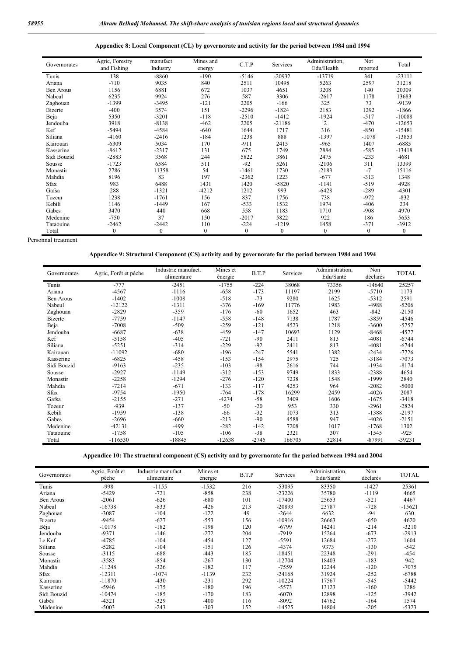| Governorates   | Agric, Forestry<br>and Fishing | manufact<br>Industry | Mines and<br>energy | C.T.P   | Services | Administration,<br>Edu/Health | Not<br>reported | Total    |
|----------------|--------------------------------|----------------------|---------------------|---------|----------|-------------------------------|-----------------|----------|
| Tunis          | 138                            | $-8860$              | $-190$              | $-5146$ | $-20932$ | -13719                        | 341             | $-23111$ |
| Ariana         | $-710$                         | 9035                 | 840                 | 2511    | 10498    | 5263                          | 2597            | 31218    |
| Ben Arous      | 1156                           | 6881                 | 672                 | 1037    | 4651     | 3208                          | 140             | 20309    |
| Nabeul         | 6235                           | 9924                 | 276                 | 587     | 3306     | $-2617$                       | 1178            | 13683    |
| Zaghouan       | $-1399$                        | $-3495$              | $-121$              | 2205    | $-166$   | 325                           | 73              | $-9139$  |
| <b>Bizerte</b> | $-400$                         | 3574                 | 151                 | $-2296$ | $-1824$  | 2183                          | 1292            | $-1866$  |
| Beja           | 5350                           | $-3201$              | $-118$              | $-2510$ | $-1412$  | $-1924$                       | $-517$          | $-10088$ |
| Jendouba       | 3918                           | $-8138$              | $-462$              | 2205    | $-21186$ | $\overline{c}$                | $-470$          | $-12653$ |
| Kef            | $-5494$                        | -4584                | $-640$              | 1644    | 1717     | 316                           | $-850$          | $-15481$ |
| Siliana        | $-4160$                        | $-2416$              | $-184$              | 1238    | 888      | $-1397$                       | $-1078$         | $-13853$ |
| Kairouan       | $-6309$                        | 5034                 | 170                 | $-911$  | 2415     | $-965$                        | 1407            | $-6885$  |
| Kasserine      | $-8612$                        | $-2317$              | 131                 | 675     | 1749     | 2884                          | $-585$          | $-13418$ |
| Sidi Bouzid    | $-2883$                        | 3568                 | 244                 | 5822    | 3861     | 2475                          | $-233$          | 4681     |
| Sousse         | $-1723$                        | 6584                 | 511                 | $-92$   | 5261     | $-2106$                       | 311             | 13399    |
| Monastir       | 2786                           | 11358                | 54                  | $-1461$ | 1730     | $-2183$                       | $-7$            | 15116    |
| Mahdia         | 8196                           | 83                   | 197                 | $-2362$ | 1223     | $-677$                        | $-313$          | 1348     |
| Sfax           | 983                            | 6488                 | 1431                | 1420    | $-5820$  | $-1141$                       | $-519$          | 4928     |
| Gafsa          | 288                            | $-1321$              | $-4212$             | 1212    | 993      | $-6428$                       | $-289$          | $-4301$  |
| Tozeur         | 1238                           | $-1761$              | 156                 | 837     | 1756     | 738                           | $-972$          | $-832$   |
| Kebili         | 1146                           | $-1449$              | 167                 | $-533$  | 1532     | 1974                          | $-406$          | 234      |

**Appendice 8: Local Component (CL) by governorate and activity for the period between 1984 and 1994**

Personnal treatment

### **Appendice 9: Structural Component (CS) activity and by governorate for the period between 1984 and 1994**

Gabes 3470 440 668 558 1183 1710 -908 4970 Medenine -750 37 150 -2017 5822 922 186 5653 Tataouine -2462 -2442 110 -224 -1219 1458 -371 -3912 Total 0 0 0 0 0 0 0 0 0 0

| Governorates   | Agric, Forêt et pêche | Industrie manufact.<br>alimentaire | Mines et<br>énergie | B.T.P   | Services | Administration,<br>Edu/Santé | Non<br>déclarés | <b>TOTAL</b> |
|----------------|-----------------------|------------------------------------|---------------------|---------|----------|------------------------------|-----------------|--------------|
| Tunis          | $-777$                | $-2451$                            | $-1755$             | $-224$  | 38068    | 73356                        | $-14640$        | 25257        |
| Ariana         | $-4567$               | $-1116$                            | $-658$              | $-173$  | 11197    | 2199                         | $-5710$         | 1173         |
| Ben Arous      | $-1402$               | $-1008$                            | $-518$              | $-73$   | 9280     | 1625                         | $-5312$         | 2591         |
| Nabeul         | $-12122$              | $-1311$                            | $-376$              | $-169$  | 11776    | 1983                         | -4988           | $-5206$      |
| Zaghouan       | $-2829$               | $-359$                             | $-176$              | $-60$   | 1652     | 463                          | $-842$          | $-2150$      |
| <b>Bizerte</b> | $-7759$               | $-1147$                            | $-558$              | $-148$  | 7138     | 1787                         | $-3859$         | -4546        |
| Beja           | $-7008$               | $-509$                             | $-259$              | $-121$  | 4523     | 1218                         | $-3600$         | $-5757$      |
| Jendouba       | $-6687$               | $-638$                             | $-459$              | $-147$  | 10693    | 1129                         | $-8468$         | $-4577$      |
| Kef            | $-5158$               | $-405$                             | $-721$              | $-90$   | 2411     | 813                          | $-4081$         | $-6744$      |
| Siliana        | $-5251$               | $-314$                             | $-229$              | $-92$   | 2411     | 813                          | $-4081$         | $-6744$      |
| Kairouan       | $-11092$              | $-680$                             | $-196$              | $-247$  | 5541     | 1382                         | $-2434$         | $-7726$      |
| Kasserine      | $-6825$               | $-458$                             | $-153$              | $-154$  | 2975     | 725                          | $-3184$         | $-7073$      |
| Sidi Bouzid    | $-9163$               | $-235$                             | $-103$              | $-98$   | 2616     | 744                          | $-1934$         | $-8174$      |
| Sousse         | $-2927$               | $-1149$                            | $-312$              | $-153$  | 9749     | 1833                         | $-2388$         | 4654         |
| Monastir       | $-2258$               | $-1294$                            | $-276$              | $-120$  | 7238     | 1548                         | $-1999$         | 2840         |
| Mahdia         | $-7214$               | $-671$                             | $-133$              | $-117$  | 4253     | 964                          | $-2082$         | $-5000$      |
| Sfax           | $-9754$               | $-1950$                            | $-764$              | $-178$  | 16299    | 2459                         | $-4026$         | 2087         |
| Gafsa          | $-2155$               | $-271$                             | $-4274$             | $-58$   | 3409     | 1606                         | $-1675$         | $-3418$      |
| Tozeur         | $-939$                | $-137$                             | $-50$               | $-20$   | 953      | 330                          | $-2961$         | $-2824$      |
| Kebili         | $-1959$               | $-138$                             | $-66$               | $-32$   | 1073     | 313                          | $-1388$         | $-2197$      |
| Gabes          | $-2696$               | $-660$                             | $-213$              | $-90$   | 4588     | 947                          | $-4026$         | $-2151$      |
| Medenine       | $-42131$              | -499                               | $-282$              | $-142$  | 7208     | 1017                         | $-1768$         | 1302         |
| Tataouine      | $-1758$               | $-105$                             | $-106$              | $-38$   | 2321     | 307                          | $-1545$         | $-925$       |
| Total          | $-116530$             | $-18845$                           | $-12638$            | $-2745$ | 166705   | 32814                        | $-87991$        | $-39231$     |

**Appendice 10: The structural component (CS) activity and by governorate for the period between 1994 and 2004**

| Governorates   | Agric, Forêt et<br>pêche | Industrie manufact.<br>alimentaire | Mines et<br>énergie | B.T.P | Services | Administration,<br>Edu/Santé | Non<br>déclarés | <b>TOTAL</b> |
|----------------|--------------------------|------------------------------------|---------------------|-------|----------|------------------------------|-----------------|--------------|
| Tunis          | $-998$                   | $-1155$                            | $-1532$             | 216   | -53095   | 83350                        | $-1427$         | 25361        |
| Ariana         | $-5429$                  | $-721$                             | $-858$              | 238   | $-23226$ | 35780                        | $-1119$         | 4665         |
| Ben Arous      | $-2061$                  | $-626$                             | $-680$              | 101   | $-17400$ | 25653                        | $-521$          | 4467         |
| Nabeul         | $-16738$                 | $-833$                             | $-426$              | 213   | $-20893$ | 23787                        | $-728$          | $-15621$     |
| Zaghouan       | $-3087$                  | $-104$                             | $-122$              | 49    | $-2644$  | 6632                         | $-94$           | 630          |
| <b>Bizerte</b> | $-9454$                  | $-627$                             | $-553$              | 156   | $-10916$ | 26663                        | $-650$          | 4620         |
| Béja           | $-10178$                 | $-182$                             | $-198$              | 120   | $-6799$  | 14241                        | $-214$          | $-3210$      |
| Jendouba       | $-9371$                  | $-146$                             | $-272$              | 204   | $-7919$  | 15264                        | $-673$          | $-2913$      |
| Le Kef         | $-4785$                  | $-104$                             | $-454$              | 127   | $-5591$  | 12684                        | $-272$          | 1604         |
| Siliana        | $-5282$                  | $-104$                             | $-151$              | 126   | $-4374$  | 9373                         | $-130$          | $-542$       |
| Sousse         | $-3115$                  | $-688$                             | $-443$              | 185   | $-18451$ | 22348                        | $-291$          | $-454$       |
| Monastir       | $-3583$                  | $-854$                             | $-267$              | 130   | $-12704$ | 18403                        | $-183$          | 942          |
| Mahdia         | $-11248$                 | $-326$                             | $-182$              | 117   | $-7559$  | 12244                        | $-120$          | $-7075$      |
| <b>Sfax</b>    | $-12311$                 | $-1074$                            | $-1139$             | 232   | $-24168$ | 31924                        | $-252$          | $-6788$      |
| Kairouan       | $-11870$                 | $-430$                             | $-231$              | 292   | $-10224$ | 17567                        | $-545$          | $-5442$      |
| Kasserine      | $-5946$                  | $-175$                             | $-180$              | 196   | $-5573$  | 13123                        | $-160$          | 1286         |
| Sidi Bouzid    | $-10474$                 | $-185$                             | $-170$              | 183   | $-6070$  | 12898                        | $-125$          | $-3942$      |
| Gabès          | $-4321$                  | $-329$                             | $-400$              | 116   | $-8092$  | 14762                        | $-164$          | 1574         |
| Médenine       | $-5003$                  | $-243$                             | $-303$              | 152   | -14525   | 14804                        | $-205$          | $-5323$      |